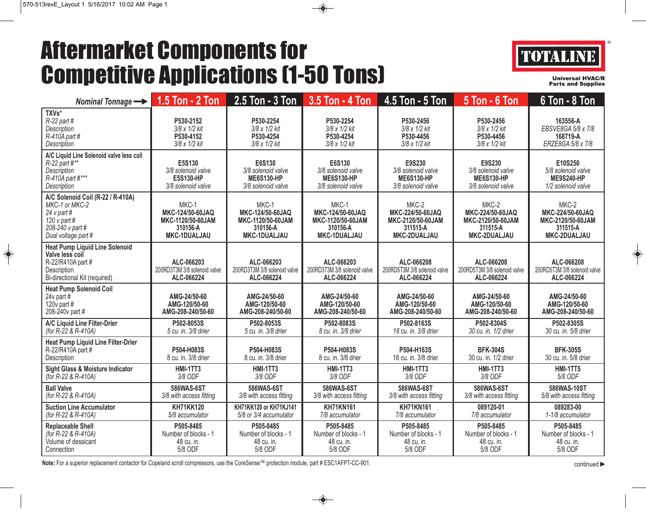## Aftermarket Components for Competitive Applications (1-50 Tons)



**Universal HVAC/R Parts and Supplies** 

| Nominal Tonnage -                                                                                                                    | $1.5$ Ton - 2 Ton                                                                 | 2.5 Ton - 3 Ton                                                            | 3.5 Ton - 4 Ton                                                            | 4.5 Ton - 5 Ton                                                                                                                                    | <b>5 Ton - 6 Ton</b>                                                       | 6 Ton - 8 Ton                                                                     |
|--------------------------------------------------------------------------------------------------------------------------------------|-----------------------------------------------------------------------------------|----------------------------------------------------------------------------|----------------------------------------------------------------------------|----------------------------------------------------------------------------------------------------------------------------------------------------|----------------------------------------------------------------------------|-----------------------------------------------------------------------------------|
| TXVs*<br>$R-22$ part #<br>Description<br>$R-410A$ part #<br>Description                                                              | P530-2152<br>3/8 x 1/2 kit<br>P530-4152<br>3/8 x 1/2 kit                          | P530-2254<br>3/8 x 1/2 kit<br>P530-4254<br>3/8 x 1/2 kit                   | P530-2254<br>3/8 x 1/2 kit<br>P530-4254<br>3/8 x 1/2 kit                   | P530-2456<br>3/8 x 1/2 kit<br>P530-4456<br>3/8 x 1/2 kit                                                                                           | P530-2456<br>3/8 x 1/2 kit<br>P530-4456<br>3/8 x 1/2 kit                   | 163556-A<br>EBSVE8GA 5/8 x 7/8<br>168719-A<br>ERZE8GA 5/8 x 7/8                   |
| A/C Liquid Line Solenoid valve less coil<br>$R-22$ part #**<br>Description<br>R-410A part #***<br>Description                        | E5S130<br>3/8 solenoid valve<br>E5S130-HP<br>3/8 solenoid valve                   | E6S130<br>3/8 solenoid valve<br><b>ME6S130-HP</b><br>3/8 solenoid valve    | E6S130<br>3/8 solenoid valve<br><b>ME6S130-HP</b><br>3/8 solenoid valve    | E9S230<br>E9S230<br>3/8 solenoid valve<br>3/8 solenoid valve<br><b>ME6S130-HP</b><br><b>ME6S130-HP</b><br>3/8 solenoid valve<br>3/8 solenoid valve |                                                                            | E10S250<br>5/8 solenoid valve<br><b>ME9S240-HP</b><br>1/2 solenoid valve          |
| A/C Solenoid Coil (R-22 / R-410A)<br>MKC-1 or MKC-2<br>24 $v$ part #<br>120 $\vee$ part #<br>208-240 v part #<br>Dual voltage part # | MKC-1<br>MKC-124/50-60JAQ<br>MKC-1120/50-60JAM<br>310156-A<br><b>MKC-1DUALJAU</b> | MKC-1<br>MKC-124/50-60JAQ<br>MKC-1120/50-60JAM<br>310156-A<br>MKC-1DUALJAU | MKC-1<br>MKC-124/50-60JAQ<br>MKC-1120/50-60JAM<br>310156-A<br>MKC-1DUALJAU | MKC-2<br>MKC-224/50-60JAQ<br>MKC-2120/50-60JAM<br>311515-A<br>MKC-2DUALJAU                                                                         | MKC-2<br>MKC-224/50-60JAQ<br>MKC-2120/50-60JAM<br>311515-A<br>MKC-2DUALJAU | MKC-2<br>MKC-224/50-60JAQ<br>MKC-2120/50-60JAM<br>311515-A<br><b>MKC-2DUALJAU</b> |
| <b>Heat Pump Liquid Line Solenoid</b><br>Valve less coil<br>R-22/R410A part #<br>Description<br>Bi-directional Kit (required)        | ALC-066203<br>200RD3T3M 3/8 solenoid valve<br>ALC-066224                          | ALC-066203<br>200RD3T3M 3/8 solenoid valve<br>ALC-066224                   | ALC-066203<br>200RD3T3M 3/8 solenoid valve<br>ALC-066224                   | ALC-066208<br>200RD5T3M 3/8 solenoid valve<br>ALC-066224                                                                                           | ALC-066208<br>200RD5T3M 3/8 solenoid valve<br>ALC-066224                   | ALC-066208<br>200RD5T3M 3/8 solenoid valve<br>ALC-066224                          |
| <b>Heat Pump Solenoid Coil</b><br>24 $v$ part #<br>120 $v$ part #<br>208-240y part #                                                 | AMG-24/50-60<br>AMG-120/50-60<br>AMG-208-240/50-60                                | AMG-24/50-60<br>AMG-120/50-60<br>AMG-208-240/50-60                         | AMG-24/50-60<br>AMG-120/50-60<br>AMG-208-240/50-60                         | AMG-24/50-60<br>AMG-120/50-60<br>AMG-208-240/50-60                                                                                                 | AMG-24/50-60<br>AMG-120/50-60<br>AMG-208-240/50-60                         | AMG-24/50-60<br>AMG-120/50-60<br>AMG-208-240/50-60                                |
| A/C Liquid Line Filter-Drier<br>(for $R - 22$ & $R - 410A$ )                                                                         | P502-8053S<br>5 cu. in. 3/8 drier                                                 | P502-8053S<br>5 cu. in. 3/8 drier                                          | P502-8083S<br>8 cu. in. 3/8 drier                                          | P502-8163S<br>16 cu. in. 3/8 drier                                                                                                                 | P502-8304S<br>30 cu. in. 1/2 drier                                         | P502-8305S<br>30 cu. in. 5/8 drier                                                |
| <b>Heat Pump Liquid Line Filter-Drier</b><br>R-22/R410A part #<br>Description                                                        | P504-H083S<br>8 cu. in. 3/8 drier                                                 | P504-H083S<br>8 cu. in. 3/8 drier                                          | P504-H083S<br>8 cu. in, 3/8 drier                                          | P504-H163S<br>16 cu. in. 3/8 drier                                                                                                                 | <b>BFK-304S</b><br>30 cu. in. 1/2 drier                                    | <b>BFK-305S</b><br>30 cu. in. 5/8 drier                                           |
| Sight Glass & Moisture Indicator<br>(for R-22 & R-410A)                                                                              | <b>HMI-1TT3</b><br>3/8 ODF                                                        | <b>HMI-1TT3</b><br>3/8 ODF                                                 | <b>HMI-1TT3</b><br>3/8 ODF                                                 | <b>HMI-1TT3</b><br>3/8 ODF                                                                                                                         | <b>HMI-1TT3</b><br>3/8 ODF                                                 | <b>HMI-1TT5</b><br>5/8 ODF                                                        |
| <b>Ball Valve</b><br>(for R-22 & R-410A)                                                                                             | 586WAS-6ST<br>3/8 with access fitting                                             | 586WAS-6ST<br>3/8 with access fitting                                      | 586WAS-6ST<br>3/8 with access fitting                                      | 586WAS-6ST<br>3/8 with access fitting                                                                                                              | 586WAS-6ST<br>3/8 with access fitting                                      | 586WAS-10ST<br>5/8 with access fitting                                            |
| <b>Suction Line Accumulator</b><br>(for R-22 & R-410A)                                                                               | <b>KH71KK120</b><br>5/8 accumulator                                               | KH71KK120 or KH71KJ141<br>5/8 or 3/4 accumulator                           | <b>KH71KN161</b><br>7/8 accumulator                                        | <b>KH71KN161</b><br>7/8 accumulator                                                                                                                | 089120-01<br>7/8 accumulator                                               | 089283-00<br>1-1/8 accumulator                                                    |
| <b>Replaceable Shell</b><br>(for R-22 & R-410A)<br>Volume of dessicant<br>Connection                                                 | P505-8485<br>Number of blocks - 1<br>48 cu. in.<br>5/8 ODF                        | P505-8485<br>Number of blocks - 1<br>48 cu. in.<br>5/8 ODF                 | P505-8485<br>Number of blocks - 1<br>48 cu. in.<br>5/8 ODF                 | P505-8485<br>Number of blocks - 1<br>48 cu. in.<br>5/8 ODF                                                                                         | P505-8485<br>Number of blocks - 1<br>48 cu. in.<br>5/8 ODF                 | P505-8485<br>Number of blocks - 1<br>48 cu. in.<br>5/8 ODF                        |

Note: For a superior replacement contactor for Copeland scroll compressors, use the CoreSense™ protection module, part # ESC1AFPT-CC-901.